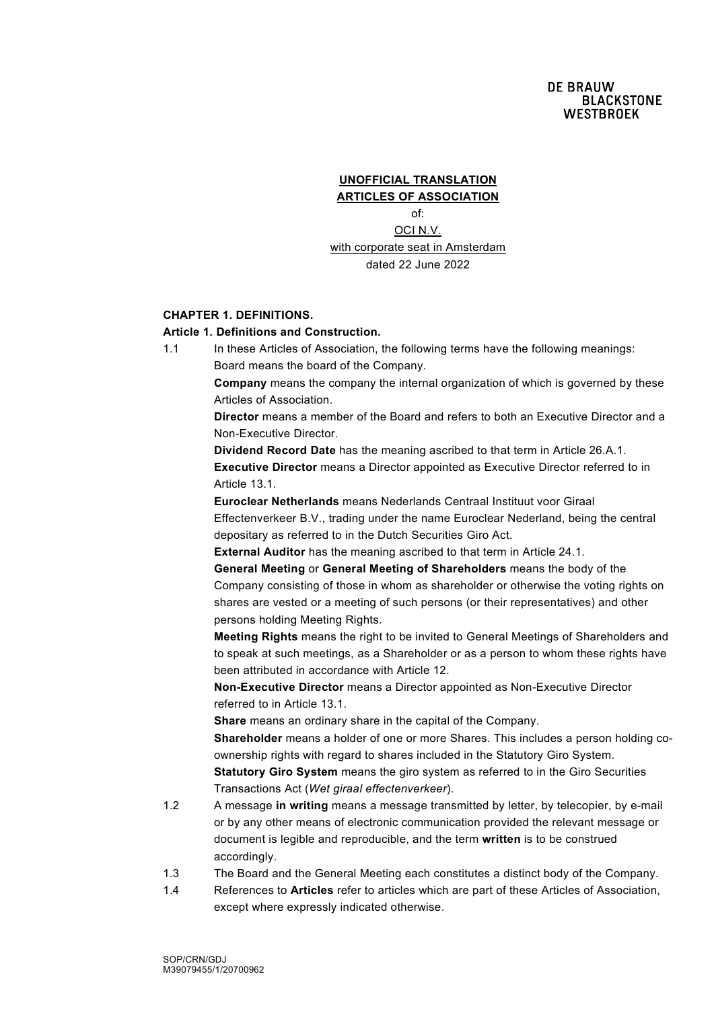### **UNOFFICIAL TRANSLATION ARTICLES OF ASSOCIATION**

of: OCI N.V. with corporate seat in Amsterdam dated 22 June 2022

# **CHAPTER 1. DEFINITIONS.**

## **Article 1. Definitions and Construction.**

1.1 In these Articles of Association, the following terms have the following meanings: Board means the board of the Company.

> **Company** means the company the internal organization of which is governed by these Articles of Association.

> **Director** means a member of the Board and refers to both an Executive Director and a Non-Executive Director.

**Dividend Record Date** has the meaning ascribed to that term in Article 26.A.1. **Executive Director** means a Director appointed as Executive Director referred to in Article 13.1.

**Euroclear Netherlands** means Nederlands Centraal Instituut voor Giraal Effectenverkeer B.V., trading under the name Euroclear Nederland, being the central depositary as referred to in the Dutch Securities Giro Act.

**External Auditor** has the meaning ascribed to that term in Article 24.1.

**General Meeting** or **General Meeting of Shareholders** means the body of the Company consisting of those in whom as shareholder or otherwise the voting rights on shares are vested or a meeting of such persons (or their representatives) and other persons holding Meeting Rights.

**Meeting Rights** means the right to be invited to General Meetings of Shareholders and to speak at such meetings, as a Shareholder or as a person to whom these rights have been attributed in accordance with Article 12.

**Non-Executive Director** means a Director appointed as Non-Executive Director referred to in Article 13.1.

**Share** means an ordinary share in the capital of the Company.

**Shareholder** means a holder of one or more Shares. This includes a person holding coownership rights with regard to shares included in the Statutory Giro System. **Statutory Giro System** means the giro system as referred to in the Giro Securities Transactions Act (*Wet giraal effectenverkeer*).

- 1.2 A message **in writing** means a message transmitted by letter, by telecopier, by e-mail or by any other means of electronic communication provided the relevant message or document is legible and reproducible, and the term **written** is to be construed accordingly.
- 1.3 The Board and the General Meeting each constitutes a distinct body of the Company.
- 1.4 References to **Articles** refer to articles which are part of these Articles of Association, except where expressly indicated otherwise.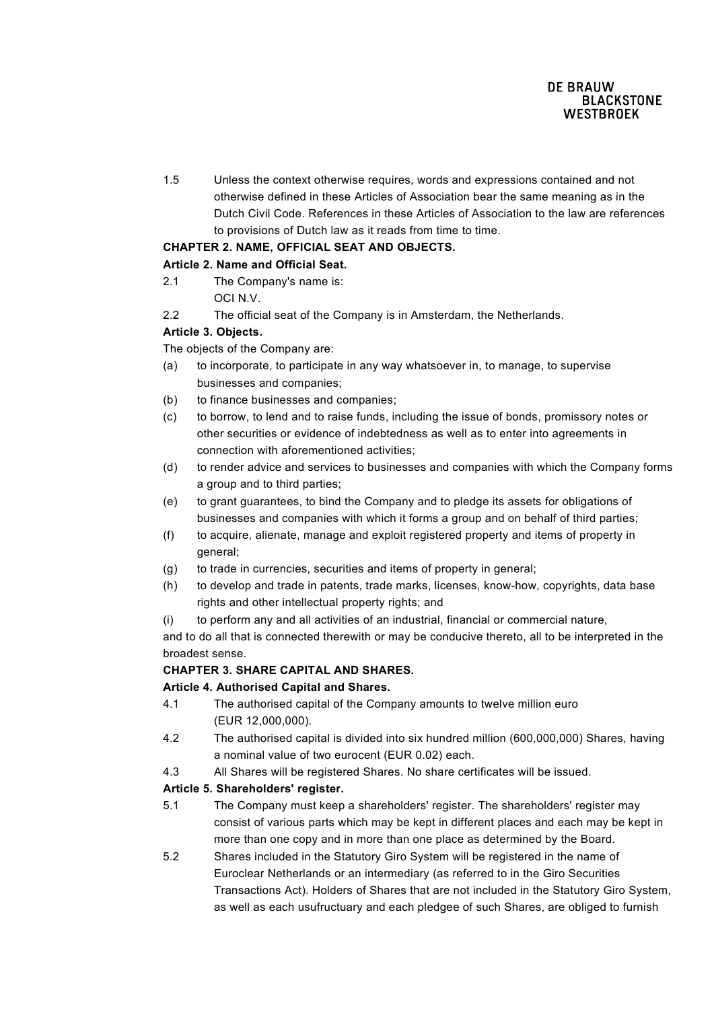1.5 Unless the context otherwise requires, words and expressions contained and not otherwise defined in these Articles of Association bear the same meaning as in the Dutch Civil Code. References in these Articles of Association to the law are references to provisions of Dutch law as it reads from time to time.

# **CHAPTER 2. NAME, OFFICIAL SEAT AND OBJECTS.**

# **Article 2. Name and Official Seat.**

- 2.1 The Company's name is: OCI N.V.
- 2.2 The official seat of the Company is in Amsterdam, the Netherlands.

# **Article 3. Objects.**

The objects of the Company are:

- (a) to incorporate, to participate in any way whatsoever in, to manage, to supervise businesses and companies;
- (b) to finance businesses and companies;
- (c) to borrow, to lend and to raise funds, including the issue of bonds, promissory notes or other securities or evidence of indebtedness as well as to enter into agreements in connection with aforementioned activities;
- (d) to render advice and services to businesses and companies with which the Company forms a group and to third parties;
- (e) to grant guarantees, to bind the Company and to pledge its assets for obligations of businesses and companies with which it forms a group and on behalf of third parties;
- (f) to acquire, alienate, manage and exploit registered property and items of property in general;
- (g) to trade in currencies, securities and items of property in general;
- (h) to develop and trade in patents, trade marks, licenses, know-how, copyrights, data base rights and other intellectual property rights; and
- (i) to perform any and all activities of an industrial, financial or commercial nature,

and to do all that is connected therewith or may be conducive thereto, all to be interpreted in the broadest sense.

## **CHAPTER 3. SHARE CAPITAL AND SHARES.**

## **Article 4. Authorised Capital and Shares.**

- 4.1 The authorised capital of the Company amounts to twelve million euro (EUR 12,000,000).
- 4.2 The authorised capital is divided into six hundred million (600,000,000) Shares, having a nominal value of two eurocent (EUR 0.02) each.
- 4.3 All Shares will be registered Shares. No share certificates will be issued.

# **Article 5. Shareholders' register.**

- 5.1 The Company must keep a shareholders' register. The shareholders' register may consist of various parts which may be kept in different places and each may be kept in more than one copy and in more than one place as determined by the Board.
- 5.2 Shares included in the Statutory Giro System will be registered in the name of Euroclear Netherlands or an intermediary (as referred to in the Giro Securities Transactions Act). Holders of Shares that are not included in the Statutory Giro System, as well as each usufructuary and each pledgee of such Shares, are obliged to furnish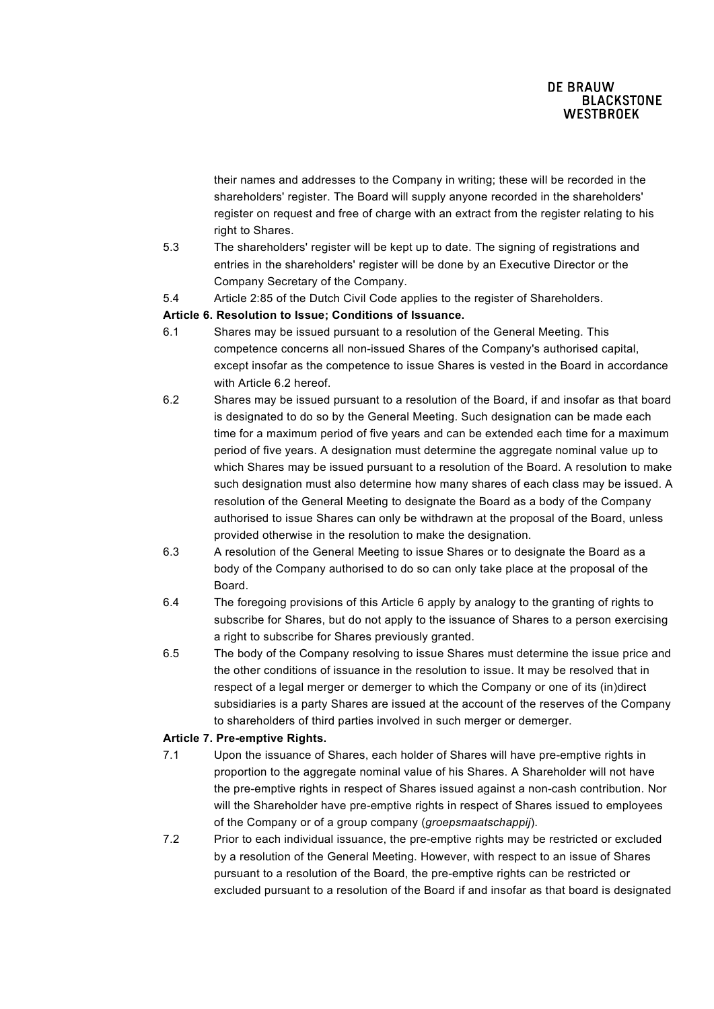their names and addresses to the Company in writing; these will be recorded in the shareholders' register. The Board will supply anyone recorded in the shareholders' register on request and free of charge with an extract from the register relating to his right to Shares.

- 5.3 The shareholders' register will be kept up to date. The signing of registrations and entries in the shareholders' register will be done by an Executive Director or the Company Secretary of the Company.
- 5.4 Article 2:85 of the Dutch Civil Code applies to the register of Shareholders.

### **Article 6. Resolution to Issue; Conditions of Issuance.**

- 6.1 Shares may be issued pursuant to a resolution of the General Meeting. This competence concerns all non-issued Shares of the Company's authorised capital, except insofar as the competence to issue Shares is vested in the Board in accordance with Article 6.2 hereof.
- 6.2 Shares may be issued pursuant to a resolution of the Board, if and insofar as that board is designated to do so by the General Meeting. Such designation can be made each time for a maximum period of five years and can be extended each time for a maximum period of five years. A designation must determine the aggregate nominal value up to which Shares may be issued pursuant to a resolution of the Board. A resolution to make such designation must also determine how many shares of each class may be issued. A resolution of the General Meeting to designate the Board as a body of the Company authorised to issue Shares can only be withdrawn at the proposal of the Board, unless provided otherwise in the resolution to make the designation.
- 6.3 A resolution of the General Meeting to issue Shares or to designate the Board as a body of the Company authorised to do so can only take place at the proposal of the Board.
- 6.4 The foregoing provisions of this Article 6 apply by analogy to the granting of rights to subscribe for Shares, but do not apply to the issuance of Shares to a person exercising a right to subscribe for Shares previously granted.
- 6.5 The body of the Company resolving to issue Shares must determine the issue price and the other conditions of issuance in the resolution to issue. It may be resolved that in respect of a legal merger or demerger to which the Company or one of its (in)direct subsidiaries is a party Shares are issued at the account of the reserves of the Company to shareholders of third parties involved in such merger or demerger.

#### **Article 7. Pre-emptive Rights.**

- 7.1 Upon the issuance of Shares, each holder of Shares will have pre-emptive rights in proportion to the aggregate nominal value of his Shares. A Shareholder will not have the pre-emptive rights in respect of Shares issued against a non-cash contribution. Nor will the Shareholder have pre-emptive rights in respect of Shares issued to employees of the Company or of a group company (*groepsmaatschappij*).
- 7.2 Prior to each individual issuance, the pre-emptive rights may be restricted or excluded by a resolution of the General Meeting. However, with respect to an issue of Shares pursuant to a resolution of the Board, the pre-emptive rights can be restricted or excluded pursuant to a resolution of the Board if and insofar as that board is designated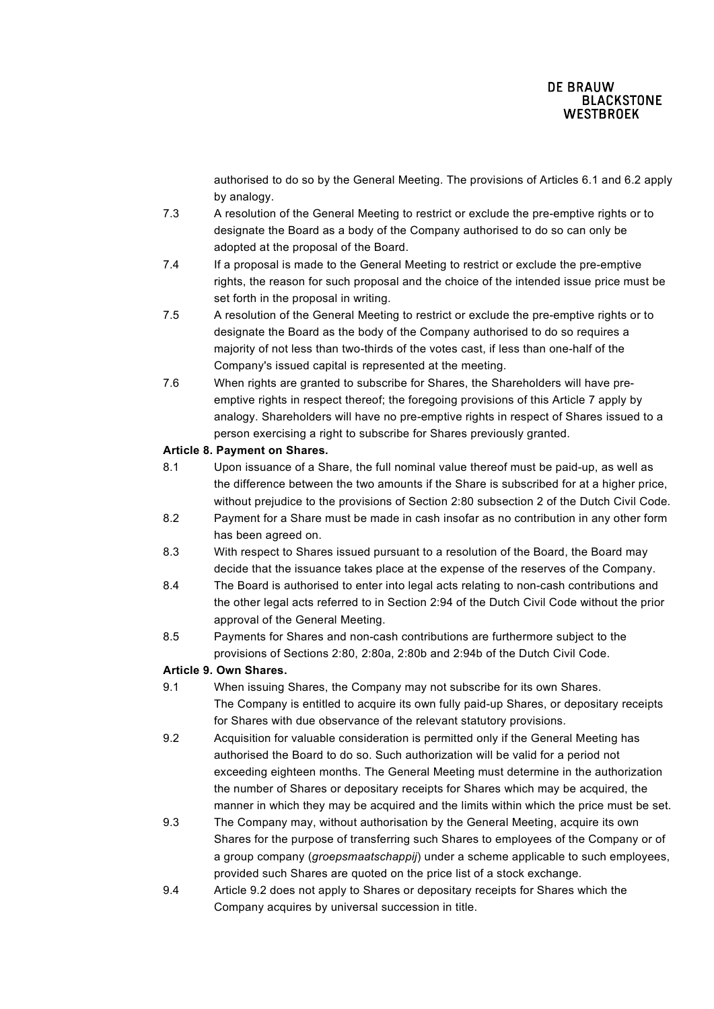authorised to do so by the General Meeting. The provisions of Articles 6.1 and 6.2 apply by analogy.

- 7.3 A resolution of the General Meeting to restrict or exclude the pre-emptive rights or to designate the Board as a body of the Company authorised to do so can only be adopted at the proposal of the Board.
- 7.4 If a proposal is made to the General Meeting to restrict or exclude the pre-emptive rights, the reason for such proposal and the choice of the intended issue price must be set forth in the proposal in writing.
- 7.5 A resolution of the General Meeting to restrict or exclude the pre-emptive rights or to designate the Board as the body of the Company authorised to do so requires a majority of not less than two-thirds of the votes cast, if less than one-half of the Company's issued capital is represented at the meeting.
- 7.6 When rights are granted to subscribe for Shares, the Shareholders will have preemptive rights in respect thereof; the foregoing provisions of this Article 7 apply by analogy. Shareholders will have no pre-emptive rights in respect of Shares issued to a person exercising a right to subscribe for Shares previously granted.

# **Article 8. Payment on Shares.**

- 8.1 Upon issuance of a Share, the full nominal value thereof must be paid-up, as well as the difference between the two amounts if the Share is subscribed for at a higher price, without prejudice to the provisions of Section 2:80 subsection 2 of the Dutch Civil Code.
- 8.2 Payment for a Share must be made in cash insofar as no contribution in any other form has been agreed on.
- 8.3 With respect to Shares issued pursuant to a resolution of the Board, the Board may decide that the issuance takes place at the expense of the reserves of the Company.
- 8.4 The Board is authorised to enter into legal acts relating to non-cash contributions and the other legal acts referred to in Section 2:94 of the Dutch Civil Code without the prior approval of the General Meeting.
- 8.5 Payments for Shares and non-cash contributions are furthermore subject to the provisions of Sections 2:80, 2:80a, 2:80b and 2:94b of the Dutch Civil Code.

## **Article 9. Own Shares.**

- 9.1 When issuing Shares, the Company may not subscribe for its own Shares. The Company is entitled to acquire its own fully paid-up Shares, or depositary receipts for Shares with due observance of the relevant statutory provisions.
- 9.2 Acquisition for valuable consideration is permitted only if the General Meeting has authorised the Board to do so. Such authorization will be valid for a period not exceeding eighteen months. The General Meeting must determine in the authorization the number of Shares or depositary receipts for Shares which may be acquired, the manner in which they may be acquired and the limits within which the price must be set.
- 9.3 The Company may, without authorisation by the General Meeting, acquire its own Shares for the purpose of transferring such Shares to employees of the Company or of a group company (*groepsmaatschappij*) under a scheme applicable to such employees, provided such Shares are quoted on the price list of a stock exchange.
- 9.4 Article 9.2 does not apply to Shares or depositary receipts for Shares which the Company acquires by universal succession in title.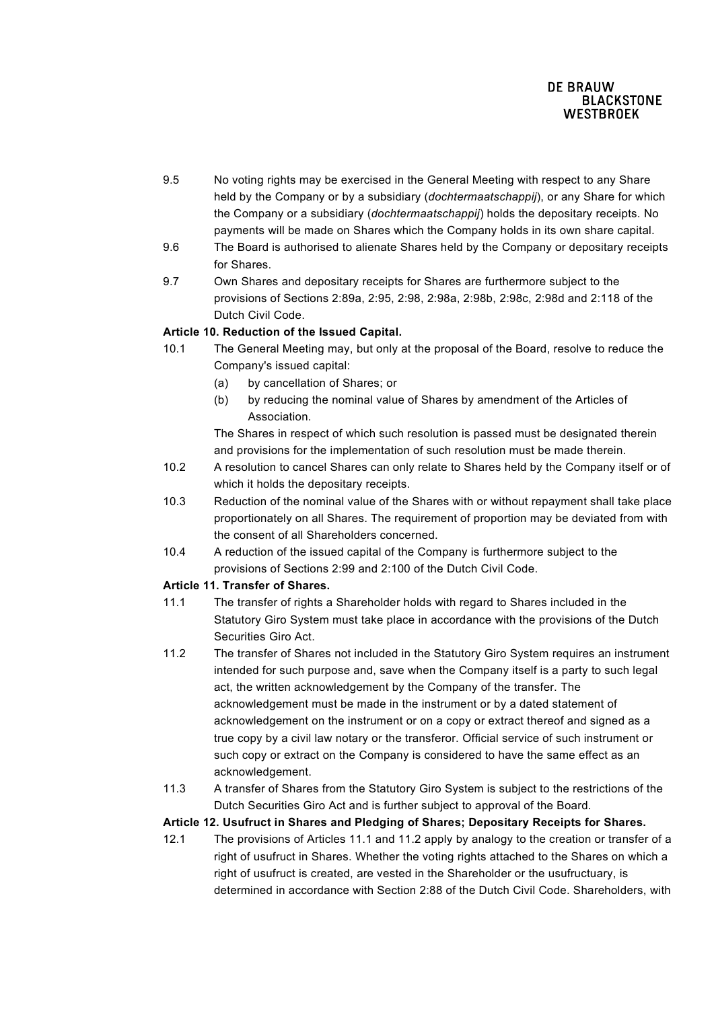- 9.5 No voting rights may be exercised in the General Meeting with respect to any Share held by the Company or by a subsidiary (*dochtermaatschappij*), or any Share for which the Company or a subsidiary (*dochtermaatschappij*) holds the depositary receipts. No payments will be made on Shares which the Company holds in its own share capital.
- 9.6 The Board is authorised to alienate Shares held by the Company or depositary receipts for Shares.
- 9.7 Own Shares and depositary receipts for Shares are furthermore subject to the provisions of Sections 2:89a, 2:95, 2:98, 2:98a, 2:98b, 2:98c, 2:98d and 2:118 of the Dutch Civil Code.

# **Article 10. Reduction of the Issued Capital.**

- 10.1 The General Meeting may, but only at the proposal of the Board, resolve to reduce the Company's issued capital:
	- (a) by cancellation of Shares; or
	- (b) by reducing the nominal value of Shares by amendment of the Articles of Association.

The Shares in respect of which such resolution is passed must be designated therein and provisions for the implementation of such resolution must be made therein.

- 10.2 A resolution to cancel Shares can only relate to Shares held by the Company itself or of which it holds the depositary receipts.
- 10.3 Reduction of the nominal value of the Shares with or without repayment shall take place proportionately on all Shares. The requirement of proportion may be deviated from with the consent of all Shareholders concerned.
- 10.4 A reduction of the issued capital of the Company is furthermore subject to the provisions of Sections 2:99 and 2:100 of the Dutch Civil Code.

# **Article 11. Transfer of Shares.**

- 11.1 The transfer of rights a Shareholder holds with regard to Shares included in the Statutory Giro System must take place in accordance with the provisions of the Dutch Securities Giro Act.
- 11.2 The transfer of Shares not included in the Statutory Giro System requires an instrument intended for such purpose and, save when the Company itself is a party to such legal act, the written acknowledgement by the Company of the transfer. The acknowledgement must be made in the instrument or by a dated statement of acknowledgement on the instrument or on a copy or extract thereof and signed as a true copy by a civil law notary or the transferor. Official service of such instrument or such copy or extract on the Company is considered to have the same effect as an acknowledgement.
- 11.3 A transfer of Shares from the Statutory Giro System is subject to the restrictions of the Dutch Securities Giro Act and is further subject to approval of the Board.

## **Article 12. Usufruct in Shares and Pledging of Shares; Depositary Receipts for Shares.**

12.1 The provisions of Articles 11.1 and 11.2 apply by analogy to the creation or transfer of a right of usufruct in Shares. Whether the voting rights attached to the Shares on which a right of usufruct is created, are vested in the Shareholder or the usufructuary, is determined in accordance with Section 2:88 of the Dutch Civil Code. Shareholders, with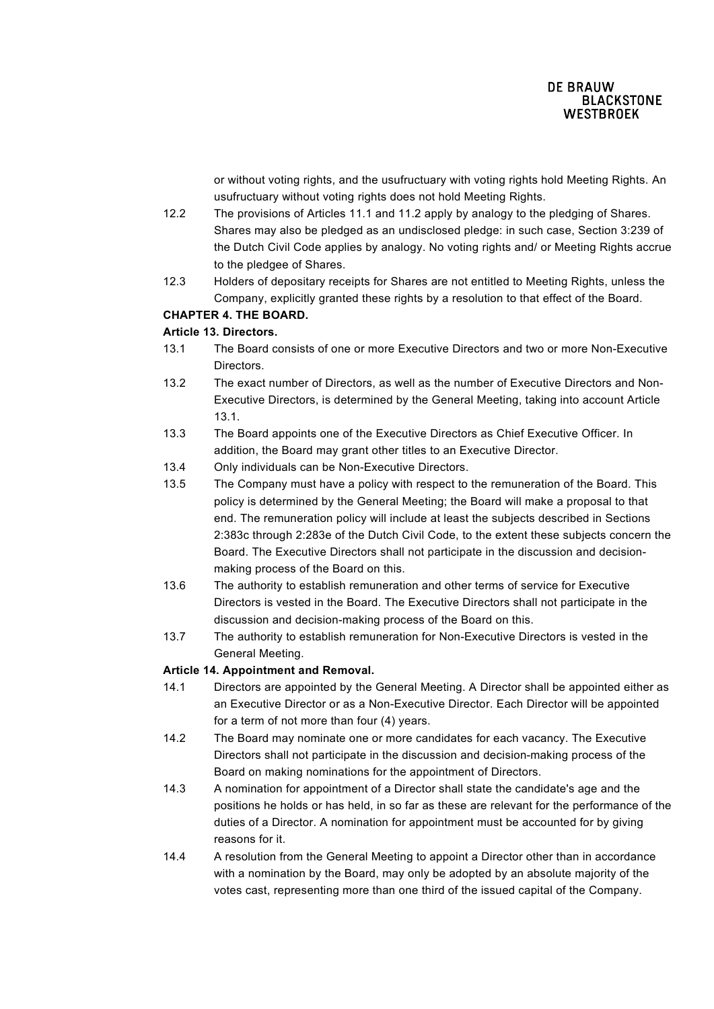or without voting rights, and the usufructuary with voting rights hold Meeting Rights. An usufructuary without voting rights does not hold Meeting Rights.

- 12.2 The provisions of Articles 11.1 and 11.2 apply by analogy to the pledging of Shares. Shares may also be pledged as an undisclosed pledge: in such case, Section 3:239 of the Dutch Civil Code applies by analogy. No voting rights and/ or Meeting Rights accrue to the pledgee of Shares.
- 12.3 Holders of depositary receipts for Shares are not entitled to Meeting Rights, unless the Company, explicitly granted these rights by a resolution to that effect of the Board.

# **CHAPTER 4. THE BOARD.**

# **Article 13. Directors.**

- 13.1 The Board consists of one or more Executive Directors and two or more Non-Executive Directors.
- 13.2 The exact number of Directors, as well as the number of Executive Directors and Non-Executive Directors, is determined by the General Meeting, taking into account Article 13.1.
- 13.3 The Board appoints one of the Executive Directors as Chief Executive Officer. In addition, the Board may grant other titles to an Executive Director.
- 13.4 Only individuals can be Non-Executive Directors.
- 13.5 The Company must have a policy with respect to the remuneration of the Board. This policy is determined by the General Meeting; the Board will make a proposal to that end. The remuneration policy will include at least the subjects described in Sections 2:383c through 2:283e of the Dutch Civil Code, to the extent these subjects concern the Board. The Executive Directors shall not participate in the discussion and decisionmaking process of the Board on this.
- 13.6 The authority to establish remuneration and other terms of service for Executive Directors is vested in the Board. The Executive Directors shall not participate in the discussion and decision-making process of the Board on this.
- 13.7 The authority to establish remuneration for Non-Executive Directors is vested in the General Meeting.

## **Article 14. Appointment and Removal.**

- 14.1 Directors are appointed by the General Meeting. A Director shall be appointed either as an Executive Director or as a Non-Executive Director. Each Director will be appointed for a term of not more than four (4) years.
- 14.2 The Board may nominate one or more candidates for each vacancy. The Executive Directors shall not participate in the discussion and decision-making process of the Board on making nominations for the appointment of Directors.
- 14.3 A nomination for appointment of a Director shall state the candidate's age and the positions he holds or has held, in so far as these are relevant for the performance of the duties of a Director. A nomination for appointment must be accounted for by giving reasons for it.
- 14.4 A resolution from the General Meeting to appoint a Director other than in accordance with a nomination by the Board, may only be adopted by an absolute majority of the votes cast, representing more than one third of the issued capital of the Company.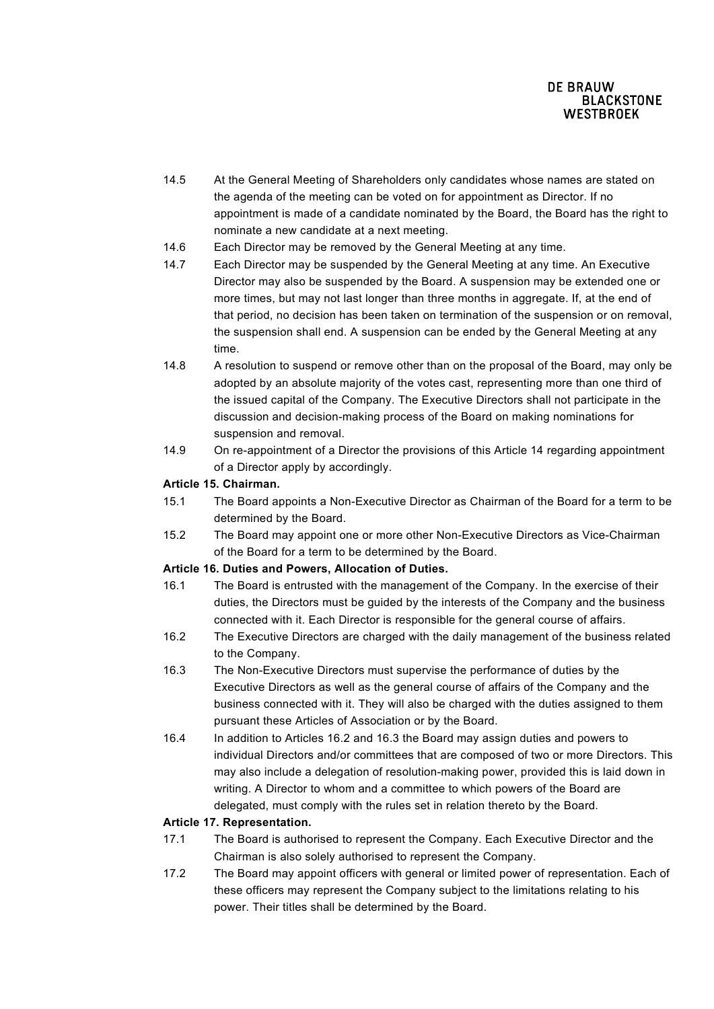- 14.5 At the General Meeting of Shareholders only candidates whose names are stated on the agenda of the meeting can be voted on for appointment as Director. If no appointment is made of a candidate nominated by the Board, the Board has the right to nominate a new candidate at a next meeting.
- 14.6 Each Director may be removed by the General Meeting at any time.
- 14.7 Each Director may be suspended by the General Meeting at any time. An Executive Director may also be suspended by the Board. A suspension may be extended one or more times, but may not last longer than three months in aggregate. If, at the end of that period, no decision has been taken on termination of the suspension or on removal, the suspension shall end. A suspension can be ended by the General Meeting at any time.
- 14.8 A resolution to suspend or remove other than on the proposal of the Board, may only be adopted by an absolute majority of the votes cast, representing more than one third of the issued capital of the Company. The Executive Directors shall not participate in the discussion and decision-making process of the Board on making nominations for suspension and removal.
- 14.9 On re-appointment of a Director the provisions of this Article 14 regarding appointment of a Director apply by accordingly.

# **Article 15. Chairman.**

- 15.1 The Board appoints a Non-Executive Director as Chairman of the Board for a term to be determined by the Board.
- 15.2 The Board may appoint one or more other Non-Executive Directors as Vice-Chairman of the Board for a term to be determined by the Board.

## **Article 16. Duties and Powers, Allocation of Duties.**

- 16.1 The Board is entrusted with the management of the Company. In the exercise of their duties, the Directors must be guided by the interests of the Company and the business connected with it. Each Director is responsible for the general course of affairs.
- 16.2 The Executive Directors are charged with the daily management of the business related to the Company.
- 16.3 The Non-Executive Directors must supervise the performance of duties by the Executive Directors as well as the general course of affairs of the Company and the business connected with it. They will also be charged with the duties assigned to them pursuant these Articles of Association or by the Board.
- 16.4 In addition to Articles 16.2 and 16.3 the Board may assign duties and powers to individual Directors and/or committees that are composed of two or more Directors. This may also include a delegation of resolution-making power, provided this is laid down in writing. A Director to whom and a committee to which powers of the Board are delegated, must comply with the rules set in relation thereto by the Board.

## **Article 17. Representation.**

- 17.1 The Board is authorised to represent the Company. Each Executive Director and the Chairman is also solely authorised to represent the Company.
- 17.2 The Board may appoint officers with general or limited power of representation. Each of these officers may represent the Company subject to the limitations relating to his power. Their titles shall be determined by the Board.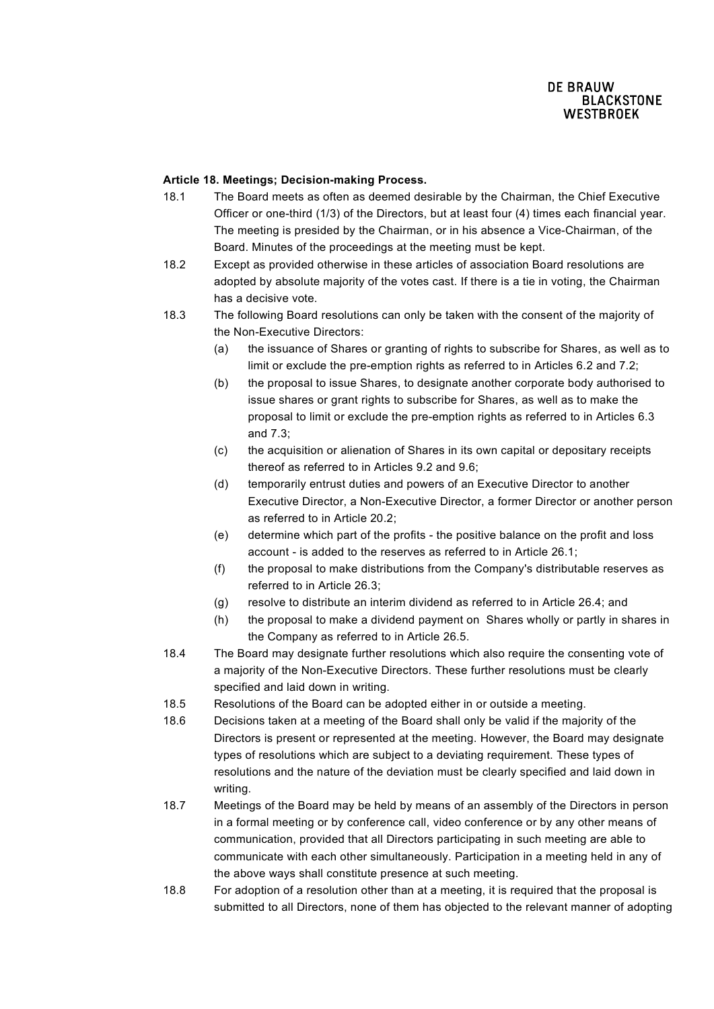### **Article 18. Meetings; Decision-making Process.**

- 18.1 The Board meets as often as deemed desirable by the Chairman, the Chief Executive Officer or one-third (1/3) of the Directors, but at least four (4) times each financial year. The meeting is presided by the Chairman, or in his absence a Vice-Chairman, of the Board. Minutes of the proceedings at the meeting must be kept.
- 18.2 Except as provided otherwise in these articles of association Board resolutions are adopted by absolute majority of the votes cast. If there is a tie in voting, the Chairman has a decisive vote.
- 18.3 The following Board resolutions can only be taken with the consent of the majority of the Non-Executive Directors:
	- (a) the issuance of Shares or granting of rights to subscribe for Shares, as well as to limit or exclude the pre-emption rights as referred to in Articles 6.2 and 7.2;
	- (b) the proposal to issue Shares, to designate another corporate body authorised to issue shares or grant rights to subscribe for Shares, as well as to make the proposal to limit or exclude the pre-emption rights as referred to in Articles 6.3 and 7.3;
	- (c) the acquisition or alienation of Shares in its own capital or depositary receipts thereof as referred to in Articles 9.2 and 9.6;
	- (d) temporarily entrust duties and powers of an Executive Director to another Executive Director, a Non-Executive Director, a former Director or another person as referred to in Article 20.2;
	- (e) determine which part of the profits the positive balance on the profit and loss account - is added to the reserves as referred to in Article 26.1;
	- (f) the proposal to make distributions from the Company's distributable reserves as referred to in Article 26.3;
	- (g) resolve to distribute an interim dividend as referred to in Article 26.4; and
	- (h) the proposal to make a dividend payment on Shares wholly or partly in shares in the Company as referred to in Article 26.5.
- 18.4 The Board may designate further resolutions which also require the consenting vote of a majority of the Non-Executive Directors. These further resolutions must be clearly specified and laid down in writing.
- 18.5 Resolutions of the Board can be adopted either in or outside a meeting.
- 18.6 Decisions taken at a meeting of the Board shall only be valid if the majority of the Directors is present or represented at the meeting. However, the Board may designate types of resolutions which are subject to a deviating requirement. These types of resolutions and the nature of the deviation must be clearly specified and laid down in writing.
- 18.7 Meetings of the Board may be held by means of an assembly of the Directors in person in a formal meeting or by conference call, video conference or by any other means of communication, provided that all Directors participating in such meeting are able to communicate with each other simultaneously. Participation in a meeting held in any of the above ways shall constitute presence at such meeting.
- 18.8 For adoption of a resolution other than at a meeting, it is required that the proposal is submitted to all Directors, none of them has objected to the relevant manner of adopting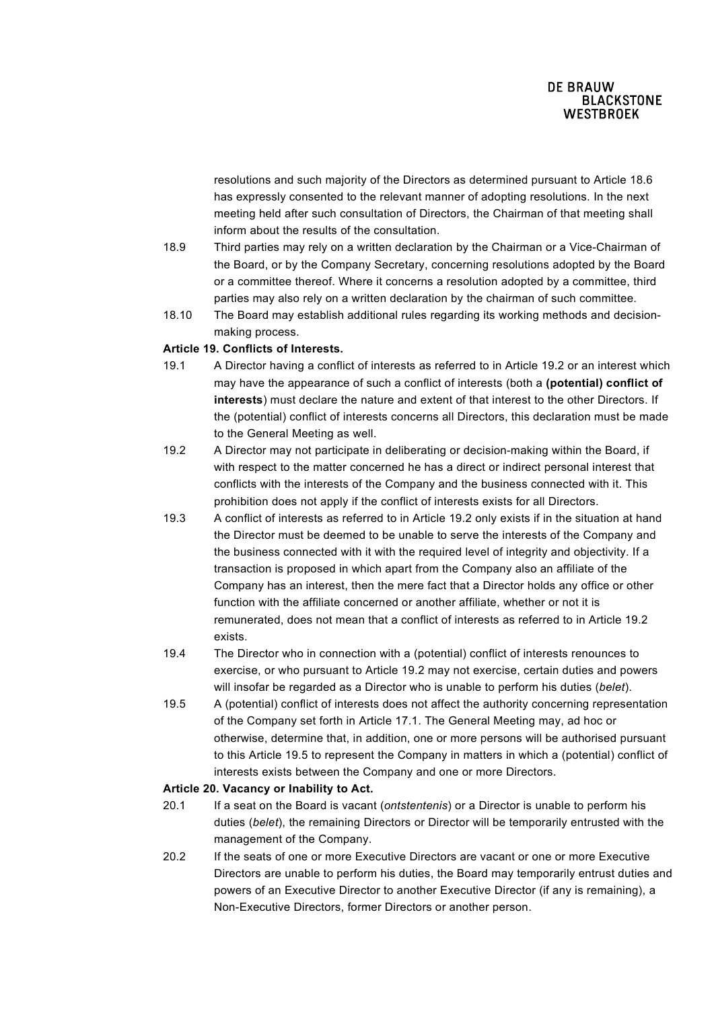resolutions and such majority of the Directors as determined pursuant to Article 18.6 has expressly consented to the relevant manner of adopting resolutions. In the next meeting held after such consultation of Directors, the Chairman of that meeting shall inform about the results of the consultation.

- 18.9 Third parties may rely on a written declaration by the Chairman or a Vice-Chairman of the Board, or by the Company Secretary, concerning resolutions adopted by the Board or a committee thereof. Where it concerns a resolution adopted by a committee, third parties may also rely on a written declaration by the chairman of such committee.
- 18.10 The Board may establish additional rules regarding its working methods and decisionmaking process.

## **Article 19. Conflicts of Interests.**

- 19.1 A Director having a conflict of interests as referred to in Article 19.2 or an interest which may have the appearance of such a conflict of interests (both a **(potential) conflict of interests**) must declare the nature and extent of that interest to the other Directors. If the (potential) conflict of interests concerns all Directors, this declaration must be made to the General Meeting as well.
- 19.2 A Director may not participate in deliberating or decision-making within the Board, if with respect to the matter concerned he has a direct or indirect personal interest that conflicts with the interests of the Company and the business connected with it. This prohibition does not apply if the conflict of interests exists for all Directors.
- 19.3 A conflict of interests as referred to in Article 19.2 only exists if in the situation at hand the Director must be deemed to be unable to serve the interests of the Company and the business connected with it with the required level of integrity and objectivity. If a transaction is proposed in which apart from the Company also an affiliate of the Company has an interest, then the mere fact that a Director holds any office or other function with the affiliate concerned or another affiliate, whether or not it is remunerated, does not mean that a conflict of interests as referred to in Article 19.2 exists.
- 19.4 The Director who in connection with a (potential) conflict of interests renounces to exercise, or who pursuant to Article 19.2 may not exercise, certain duties and powers will insofar be regarded as a Director who is unable to perform his duties (*belet*).
- 19.5 A (potential) conflict of interests does not affect the authority concerning representation of the Company set forth in Article 17.1. The General Meeting may, ad hoc or otherwise, determine that, in addition, one or more persons will be authorised pursuant to this Article 19.5 to represent the Company in matters in which a (potential) conflict of interests exists between the Company and one or more Directors.

#### **Article 20. Vacancy or Inability to Act.**

- 20.1 If a seat on the Board is vacant (*ontstentenis*) or a Director is unable to perform his duties (*belet*), the remaining Directors or Director will be temporarily entrusted with the management of the Company.
- 20.2 If the seats of one or more Executive Directors are vacant or one or more Executive Directors are unable to perform his duties, the Board may temporarily entrust duties and powers of an Executive Director to another Executive Director (if any is remaining), a Non-Executive Directors, former Directors or another person.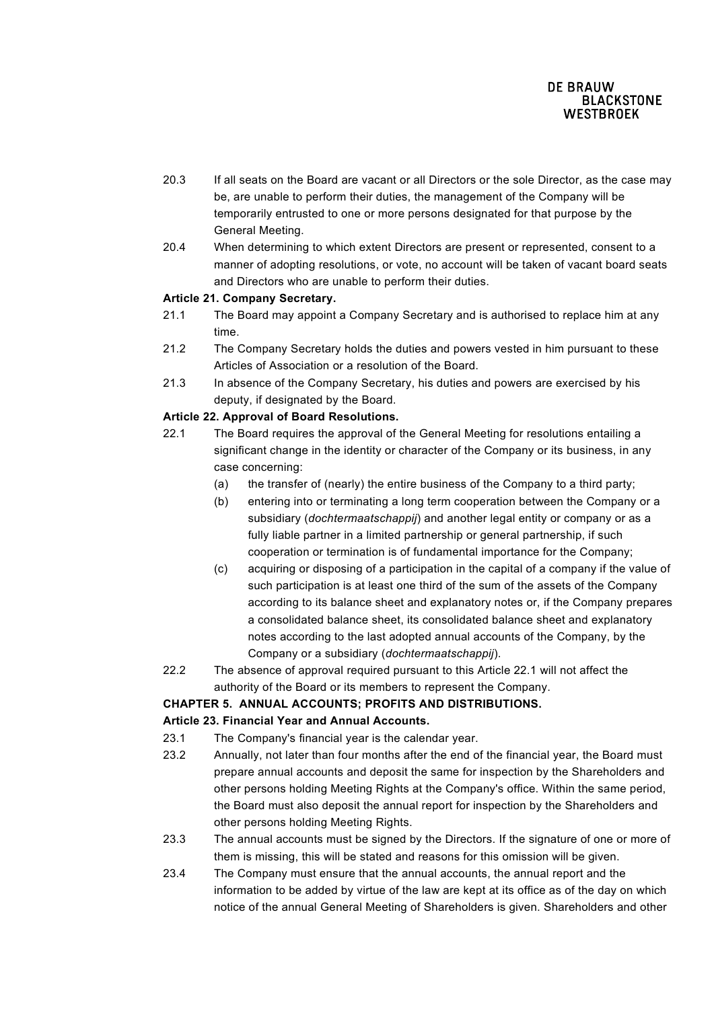- 20.3 If all seats on the Board are vacant or all Directors or the sole Director, as the case may be, are unable to perform their duties, the management of the Company will be temporarily entrusted to one or more persons designated for that purpose by the General Meeting.
- 20.4 When determining to which extent Directors are present or represented, consent to a manner of adopting resolutions, or vote, no account will be taken of vacant board seats and Directors who are unable to perform their duties.

## **Article 21. Company Secretary.**

- 21.1 The Board may appoint a Company Secretary and is authorised to replace him at any time.
- 21.2 The Company Secretary holds the duties and powers vested in him pursuant to these Articles of Association or a resolution of the Board.
- 21.3 In absence of the Company Secretary, his duties and powers are exercised by his deputy, if designated by the Board.

### **Article 22. Approval of Board Resolutions.**

- 22.1 The Board requires the approval of the General Meeting for resolutions entailing a significant change in the identity or character of the Company or its business, in any case concerning:
	- (a) the transfer of (nearly) the entire business of the Company to a third party;
	- (b) entering into or terminating a long term cooperation between the Company or a subsidiary (*dochtermaatschappij*) and another legal entity or company or as a fully liable partner in a limited partnership or general partnership, if such cooperation or termination is of fundamental importance for the Company;
	- (c) acquiring or disposing of a participation in the capital of a company if the value of such participation is at least one third of the sum of the assets of the Company according to its balance sheet and explanatory notes or, if the Company prepares a consolidated balance sheet, its consolidated balance sheet and explanatory notes according to the last adopted annual accounts of the Company, by the Company or a subsidiary (*dochtermaatschappij*).
- 22.2 The absence of approval required pursuant to this Article 22.1 will not affect the authority of the Board or its members to represent the Company.

#### **CHAPTER 5. ANNUAL ACCOUNTS; PROFITS AND DISTRIBUTIONS.**

## **Article 23. Financial Year and Annual Accounts.**

- 23.1 The Company's financial year is the calendar year.
- 23.2 Annually, not later than four months after the end of the financial year, the Board must prepare annual accounts and deposit the same for inspection by the Shareholders and other persons holding Meeting Rights at the Company's office. Within the same period, the Board must also deposit the annual report for inspection by the Shareholders and other persons holding Meeting Rights.
- 23.3 The annual accounts must be signed by the Directors. If the signature of one or more of them is missing, this will be stated and reasons for this omission will be given.
- 23.4 The Company must ensure that the annual accounts, the annual report and the information to be added by virtue of the law are kept at its office as of the day on which notice of the annual General Meeting of Shareholders is given. Shareholders and other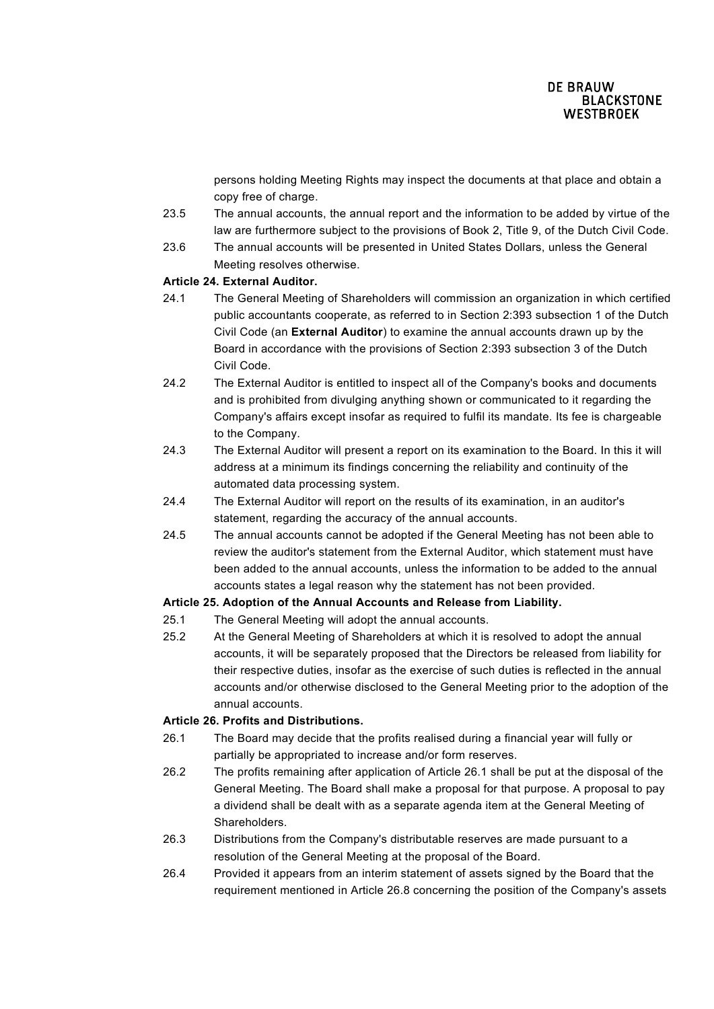persons holding Meeting Rights may inspect the documents at that place and obtain a copy free of charge.

- 23.5 The annual accounts, the annual report and the information to be added by virtue of the law are furthermore subject to the provisions of Book 2, Title 9, of the Dutch Civil Code.
- 23.6 The annual accounts will be presented in United States Dollars, unless the General Meeting resolves otherwise.

#### **Article 24. External Auditor.**

- 24.1 The General Meeting of Shareholders will commission an organization in which certified public accountants cooperate, as referred to in Section 2:393 subsection 1 of the Dutch Civil Code (an **External Auditor**) to examine the annual accounts drawn up by the Board in accordance with the provisions of Section 2:393 subsection 3 of the Dutch Civil Code.
- 24.2 The External Auditor is entitled to inspect all of the Company's books and documents and is prohibited from divulging anything shown or communicated to it regarding the Company's affairs except insofar as required to fulfil its mandate. Its fee is chargeable to the Company.
- 24.3 The External Auditor will present a report on its examination to the Board. In this it will address at a minimum its findings concerning the reliability and continuity of the automated data processing system.
- 24.4 The External Auditor will report on the results of its examination, in an auditor's statement, regarding the accuracy of the annual accounts.
- 24.5 The annual accounts cannot be adopted if the General Meeting has not been able to review the auditor's statement from the External Auditor, which statement must have been added to the annual accounts, unless the information to be added to the annual accounts states a legal reason why the statement has not been provided.

## **Article 25. Adoption of the Annual Accounts and Release from Liability.**

- 25.1 The General Meeting will adopt the annual accounts.
- 25.2 At the General Meeting of Shareholders at which it is resolved to adopt the annual accounts, it will be separately proposed that the Directors be released from liability for their respective duties, insofar as the exercise of such duties is reflected in the annual accounts and/or otherwise disclosed to the General Meeting prior to the adoption of the annual accounts.

#### **Article 26. Profits and Distributions.**

- 26.1 The Board may decide that the profits realised during a financial year will fully or partially be appropriated to increase and/or form reserves.
- 26.2 The profits remaining after application of Article 26.1 shall be put at the disposal of the General Meeting. The Board shall make a proposal for that purpose. A proposal to pay a dividend shall be dealt with as a separate agenda item at the General Meeting of Shareholders.
- 26.3 Distributions from the Company's distributable reserves are made pursuant to a resolution of the General Meeting at the proposal of the Board.
- 26.4 Provided it appears from an interim statement of assets signed by the Board that the requirement mentioned in Article 26.8 concerning the position of the Company's assets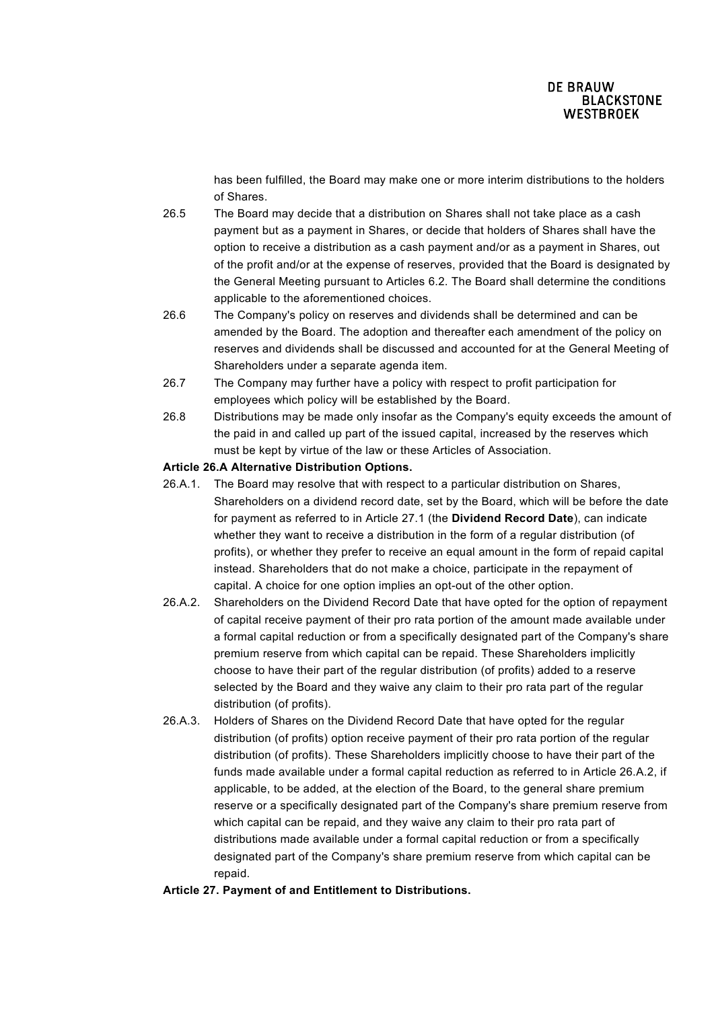has been fulfilled, the Board may make one or more interim distributions to the holders of Shares.

- 26.5 The Board may decide that a distribution on Shares shall not take place as a cash payment but as a payment in Shares, or decide that holders of Shares shall have the option to receive a distribution as a cash payment and/or as a payment in Shares, out of the profit and/or at the expense of reserves, provided that the Board is designated by the General Meeting pursuant to Articles 6.2. The Board shall determine the conditions applicable to the aforementioned choices.
- 26.6 The Company's policy on reserves and dividends shall be determined and can be amended by the Board. The adoption and thereafter each amendment of the policy on reserves and dividends shall be discussed and accounted for at the General Meeting of Shareholders under a separate agenda item.
- 26.7 The Company may further have a policy with respect to profit participation for employees which policy will be established by the Board.
- 26.8 Distributions may be made only insofar as the Company's equity exceeds the amount of the paid in and called up part of the issued capital, increased by the reserves which must be kept by virtue of the law or these Articles of Association.

### **Article 26.A Alternative Distribution Options.**

- 26.A.1. The Board may resolve that with respect to a particular distribution on Shares, Shareholders on a dividend record date, set by the Board, which will be before the date for payment as referred to in Article 27.1 (the **Dividend Record Date**), can indicate whether they want to receive a distribution in the form of a regular distribution (of profits), or whether they prefer to receive an equal amount in the form of repaid capital instead. Shareholders that do not make a choice, participate in the repayment of capital. A choice for one option implies an opt-out of the other option.
- 26.A.2. Shareholders on the Dividend Record Date that have opted for the option of repayment of capital receive payment of their pro rata portion of the amount made available under a formal capital reduction or from a specifically designated part of the Company's share premium reserve from which capital can be repaid. These Shareholders implicitly choose to have their part of the regular distribution (of profits) added to a reserve selected by the Board and they waive any claim to their pro rata part of the regular distribution (of profits).
- 26.A.3. Holders of Shares on the Dividend Record Date that have opted for the regular distribution (of profits) option receive payment of their pro rata portion of the regular distribution (of profits). These Shareholders implicitly choose to have their part of the funds made available under a formal capital reduction as referred to in Article 26.A.2, if applicable, to be added, at the election of the Board, to the general share premium reserve or a specifically designated part of the Company's share premium reserve from which capital can be repaid, and they waive any claim to their pro rata part of distributions made available under a formal capital reduction or from a specifically designated part of the Company's share premium reserve from which capital can be repaid.

## **Article 27. Payment of and Entitlement to Distributions.**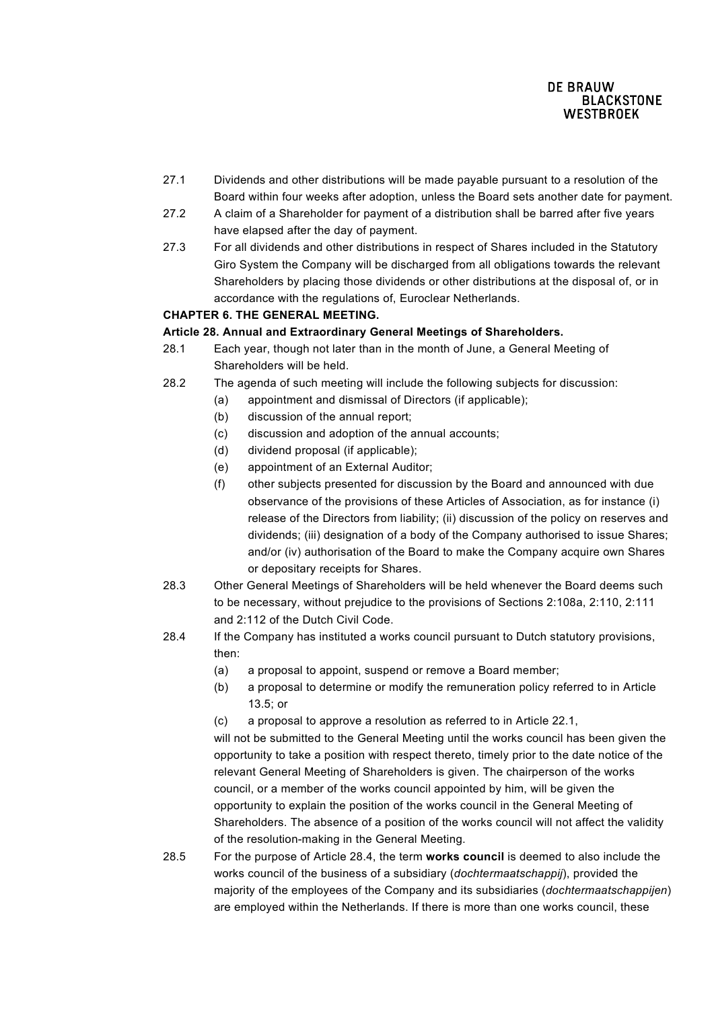- 27.1 Dividends and other distributions will be made payable pursuant to a resolution of the Board within four weeks after adoption, unless the Board sets another date for payment.
- 27.2 A claim of a Shareholder for payment of a distribution shall be barred after five years have elapsed after the day of payment.
- 27.3 For all dividends and other distributions in respect of Shares included in the Statutory Giro System the Company will be discharged from all obligations towards the relevant Shareholders by placing those dividends or other distributions at the disposal of, or in accordance with the regulations of, Euroclear Netherlands.

# **CHAPTER 6. THE GENERAL MEETING.**

## **Article 28. Annual and Extraordinary General Meetings of Shareholders.**

- 28.1 Each year, though not later than in the month of June, a General Meeting of Shareholders will be held.
- 28.2 The agenda of such meeting will include the following subjects for discussion:
	- (a) appointment and dismissal of Directors (if applicable);
		- (b) discussion of the annual report;
		- (c) discussion and adoption of the annual accounts;
		- (d) dividend proposal (if applicable);
	- (e) appointment of an External Auditor;
	- (f) other subjects presented for discussion by the Board and announced with due observance of the provisions of these Articles of Association, as for instance (i) release of the Directors from liability; (ii) discussion of the policy on reserves and dividends; (iii) designation of a body of the Company authorised to issue Shares; and/or (iv) authorisation of the Board to make the Company acquire own Shares or depositary receipts for Shares.
- 28.3 Other General Meetings of Shareholders will be held whenever the Board deems such to be necessary, without prejudice to the provisions of Sections 2:108a, 2:110, 2:111 and 2:112 of the Dutch Civil Code.
- 28.4 If the Company has instituted a works council pursuant to Dutch statutory provisions, then:
	- (a) a proposal to appoint, suspend or remove a Board member;
	- (b) a proposal to determine or modify the remuneration policy referred to in Article 13.5; or
	- (c) a proposal to approve a resolution as referred to in Article 22.1,

will not be submitted to the General Meeting until the works council has been given the opportunity to take a position with respect thereto, timely prior to the date notice of the relevant General Meeting of Shareholders is given. The chairperson of the works council, or a member of the works council appointed by him, will be given the opportunity to explain the position of the works council in the General Meeting of Shareholders. The absence of a position of the works council will not affect the validity of the resolution-making in the General Meeting.

28.5 For the purpose of Article 28.4, the term **works council** is deemed to also include the works council of the business of a subsidiary (*dochtermaatschappij*), provided the majority of the employees of the Company and its subsidiaries (*dochtermaatschappijen*) are employed within the Netherlands. If there is more than one works council, these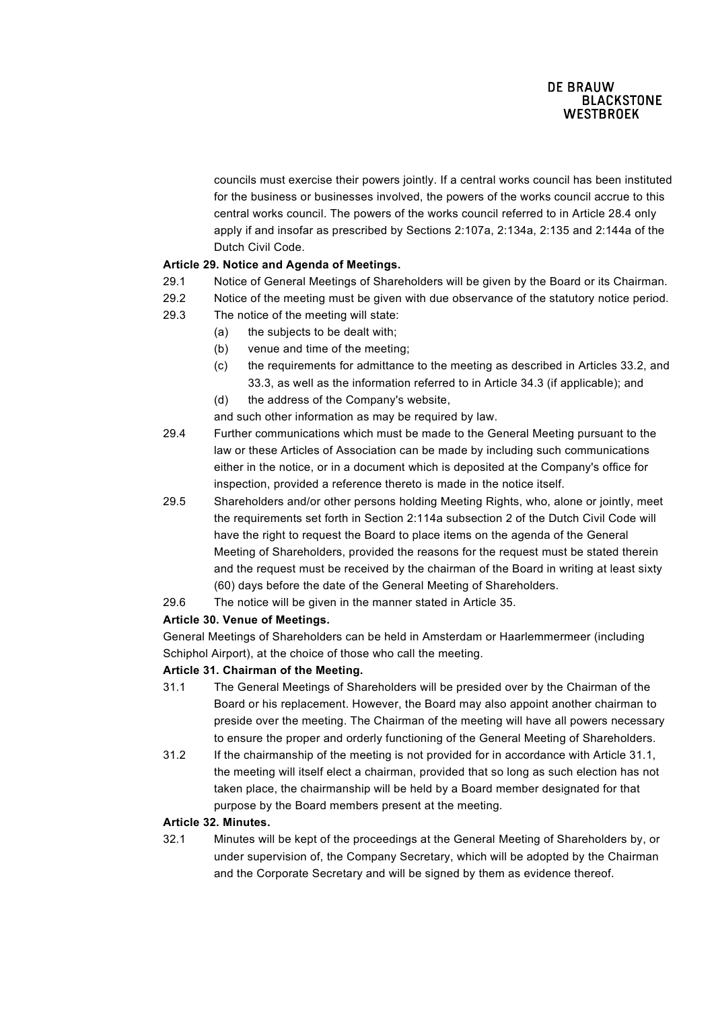councils must exercise their powers jointly. If a central works council has been instituted for the business or businesses involved, the powers of the works council accrue to this central works council. The powers of the works council referred to in Article 28.4 only apply if and insofar as prescribed by Sections 2:107a, 2:134a, 2:135 and 2:144a of the Dutch Civil Code.

# **Article 29. Notice and Agenda of Meetings.**

- 29.1 Notice of General Meetings of Shareholders will be given by the Board or its Chairman.
- 29.2 Notice of the meeting must be given with due observance of the statutory notice period.
- 29.3 The notice of the meeting will state:
	- (a) the subjects to be dealt with;
		- (b) venue and time of the meeting;
		- (c) the requirements for admittance to the meeting as described in Articles 33.2, and 33.3, as well as the information referred to in Article 34.3 (if applicable); and
		- (d) the address of the Company's website,
	- and such other information as may be required by law.
- 29.4 Further communications which must be made to the General Meeting pursuant to the law or these Articles of Association can be made by including such communications either in the notice, or in a document which is deposited at the Company's office for inspection, provided a reference thereto is made in the notice itself.
- 29.5 Shareholders and/or other persons holding Meeting Rights, who, alone or jointly, meet the requirements set forth in Section 2:114a subsection 2 of the Dutch Civil Code will have the right to request the Board to place items on the agenda of the General Meeting of Shareholders, provided the reasons for the request must be stated therein and the request must be received by the chairman of the Board in writing at least sixty (60) days before the date of the General Meeting of Shareholders.
- 29.6 The notice will be given in the manner stated in Article 35.

# **Article 30. Venue of Meetings.**

General Meetings of Shareholders can be held in Amsterdam or Haarlemmermeer (including Schiphol Airport), at the choice of those who call the meeting.

# **Article 31. Chairman of the Meeting.**

- 31.1 The General Meetings of Shareholders will be presided over by the Chairman of the Board or his replacement. However, the Board may also appoint another chairman to preside over the meeting. The Chairman of the meeting will have all powers necessary to ensure the proper and orderly functioning of the General Meeting of Shareholders.
- 31.2 If the chairmanship of the meeting is not provided for in accordance with Article 31.1, the meeting will itself elect a chairman, provided that so long as such election has not taken place, the chairmanship will be held by a Board member designated for that purpose by the Board members present at the meeting.

## **Article 32. Minutes.**

32.1 Minutes will be kept of the proceedings at the General Meeting of Shareholders by, or under supervision of, the Company Secretary, which will be adopted by the Chairman and the Corporate Secretary and will be signed by them as evidence thereof.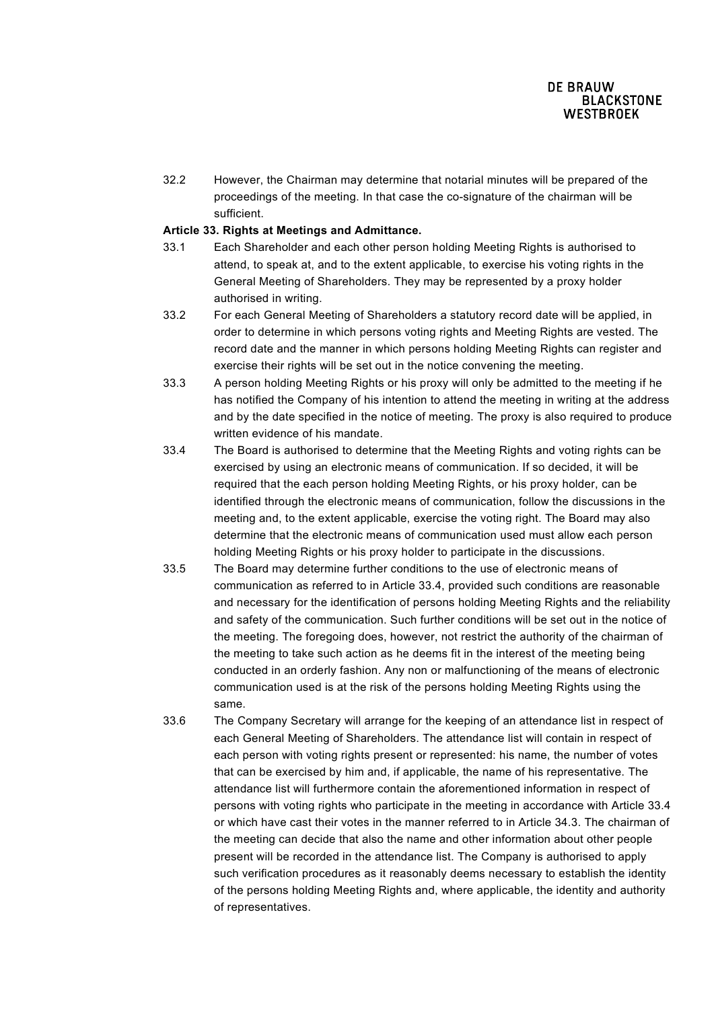32.2 However, the Chairman may determine that notarial minutes will be prepared of the proceedings of the meeting. In that case the co-signature of the chairman will be sufficient.

#### **Article 33. Rights at Meetings and Admittance.**

- 33.1 Each Shareholder and each other person holding Meeting Rights is authorised to attend, to speak at, and to the extent applicable, to exercise his voting rights in the General Meeting of Shareholders. They may be represented by a proxy holder authorised in writing.
- 33.2 For each General Meeting of Shareholders a statutory record date will be applied, in order to determine in which persons voting rights and Meeting Rights are vested. The record date and the manner in which persons holding Meeting Rights can register and exercise their rights will be set out in the notice convening the meeting.
- 33.3 A person holding Meeting Rights or his proxy will only be admitted to the meeting if he has notified the Company of his intention to attend the meeting in writing at the address and by the date specified in the notice of meeting. The proxy is also required to produce written evidence of his mandate.
- 33.4 The Board is authorised to determine that the Meeting Rights and voting rights can be exercised by using an electronic means of communication. If so decided, it will be required that the each person holding Meeting Rights, or his proxy holder, can be identified through the electronic means of communication, follow the discussions in the meeting and, to the extent applicable, exercise the voting right. The Board may also determine that the electronic means of communication used must allow each person holding Meeting Rights or his proxy holder to participate in the discussions.
- 33.5 The Board may determine further conditions to the use of electronic means of communication as referred to in Article 33.4, provided such conditions are reasonable and necessary for the identification of persons holding Meeting Rights and the reliability and safety of the communication. Such further conditions will be set out in the notice of the meeting. The foregoing does, however, not restrict the authority of the chairman of the meeting to take such action as he deems fit in the interest of the meeting being conducted in an orderly fashion. Any non or malfunctioning of the means of electronic communication used is at the risk of the persons holding Meeting Rights using the same.
- 33.6 The Company Secretary will arrange for the keeping of an attendance list in respect of each General Meeting of Shareholders. The attendance list will contain in respect of each person with voting rights present or represented: his name, the number of votes that can be exercised by him and, if applicable, the name of his representative. The attendance list will furthermore contain the aforementioned information in respect of persons with voting rights who participate in the meeting in accordance with Article 33.4 or which have cast their votes in the manner referred to in Article 34.3. The chairman of the meeting can decide that also the name and other information about other people present will be recorded in the attendance list. The Company is authorised to apply such verification procedures as it reasonably deems necessary to establish the identity of the persons holding Meeting Rights and, where applicable, the identity and authority of representatives.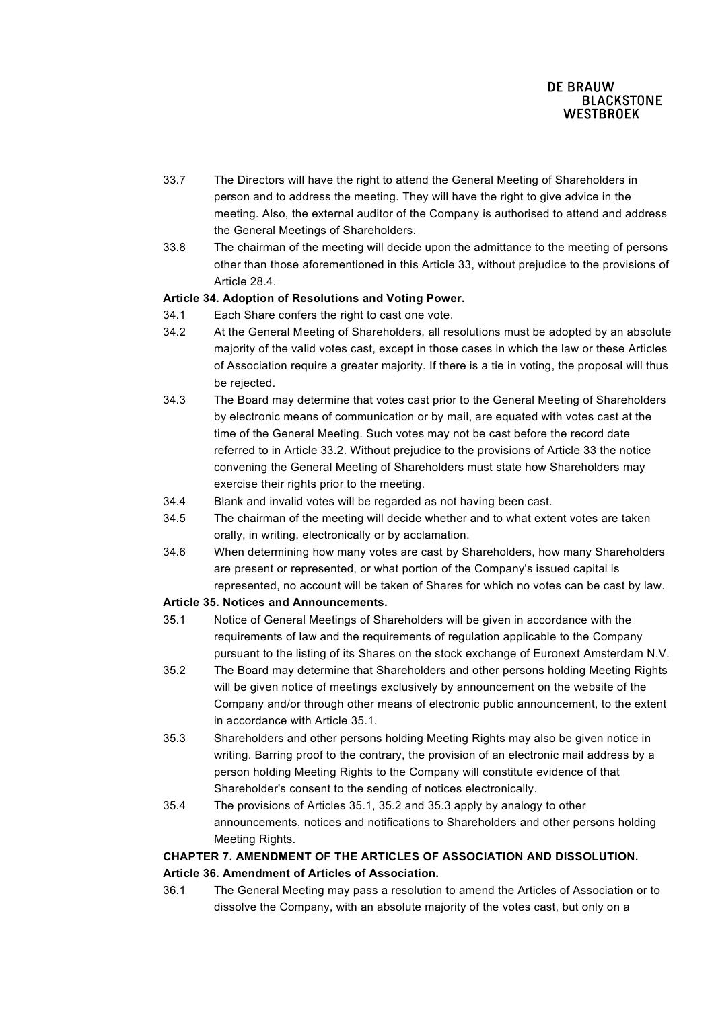- 33.7 The Directors will have the right to attend the General Meeting of Shareholders in person and to address the meeting. They will have the right to give advice in the meeting. Also, the external auditor of the Company is authorised to attend and address the General Meetings of Shareholders.
- 33.8 The chairman of the meeting will decide upon the admittance to the meeting of persons other than those aforementioned in this Article 33, without prejudice to the provisions of Article 28.4.

### **Article 34. Adoption of Resolutions and Voting Power.**

- 34.1 Each Share confers the right to cast one vote.
- 34.2 At the General Meeting of Shareholders, all resolutions must be adopted by an absolute majority of the valid votes cast, except in those cases in which the law or these Articles of Association require a greater majority. If there is a tie in voting, the proposal will thus be rejected.
- 34.3 The Board may determine that votes cast prior to the General Meeting of Shareholders by electronic means of communication or by mail, are equated with votes cast at the time of the General Meeting. Such votes may not be cast before the record date referred to in Article 33.2. Without prejudice to the provisions of Article 33 the notice convening the General Meeting of Shareholders must state how Shareholders may exercise their rights prior to the meeting.
- 34.4 Blank and invalid votes will be regarded as not having been cast.
- 34.5 The chairman of the meeting will decide whether and to what extent votes are taken orally, in writing, electronically or by acclamation.
- 34.6 When determining how many votes are cast by Shareholders, how many Shareholders are present or represented, or what portion of the Company's issued capital is represented, no account will be taken of Shares for which no votes can be cast by law.

### **Article 35. Notices and Announcements.**

- 35.1 Notice of General Meetings of Shareholders will be given in accordance with the requirements of law and the requirements of regulation applicable to the Company pursuant to the listing of its Shares on the stock exchange of Euronext Amsterdam N.V.
- 35.2 The Board may determine that Shareholders and other persons holding Meeting Rights will be given notice of meetings exclusively by announcement on the website of the Company and/or through other means of electronic public announcement, to the extent in accordance with Article 35.1.
- 35.3 Shareholders and other persons holding Meeting Rights may also be given notice in writing. Barring proof to the contrary, the provision of an electronic mail address by a person holding Meeting Rights to the Company will constitute evidence of that Shareholder's consent to the sending of notices electronically.
- 35.4 The provisions of Articles 35.1, 35.2 and 35.3 apply by analogy to other announcements, notices and notifications to Shareholders and other persons holding Meeting Rights.

# **CHAPTER 7. AMENDMENT OF THE ARTICLES OF ASSOCIATION AND DISSOLUTION. Article 36. Amendment of Articles of Association.**

36.1 The General Meeting may pass a resolution to amend the Articles of Association or to dissolve the Company, with an absolute majority of the votes cast, but only on a